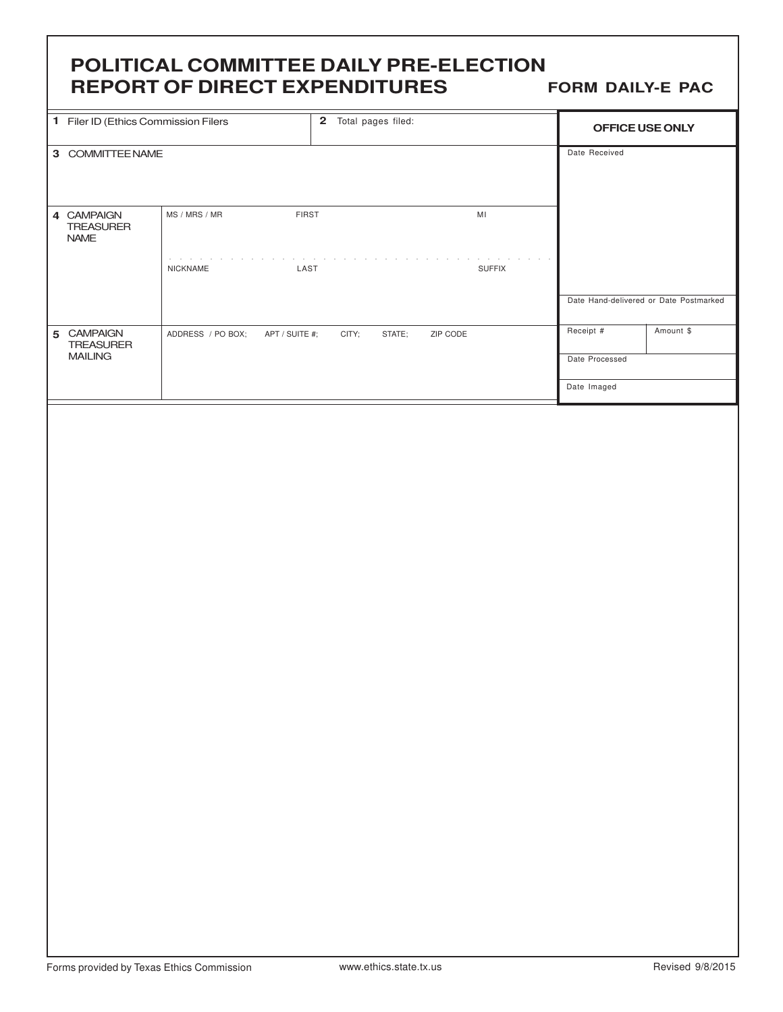# **POLITICAL COMMITTEE DAILY PRE-ELECTION REPORT OF DIRECT EXPENDITURES**

**FORM DAILY-E PAC**

|  |                                               | 1 Filer ID (Ethics Commission Filers<br>2 Total pages filed: |                      |               | OFFICE USE ONLY                        |           |
|--|-----------------------------------------------|--------------------------------------------------------------|----------------------|---------------|----------------------------------------|-----------|
|  | 3 COMMITTEE NAME                              |                                                              |                      |               | Date Received                          |           |
|  |                                               |                                                              |                      |               |                                        |           |
|  |                                               |                                                              |                      |               |                                        |           |
|  | 4 CAMPAIGN<br><b>TREASURER</b><br><b>NAME</b> | FIRST<br>MS / MRS / MR                                       |                      | $\mathsf{MI}$ |                                        |           |
|  |                                               | $\alpha$ , and $\alpha$ , and $\alpha$<br>NICKNAME<br>LAST   | <b>Service</b> State | <b>SUFFIX</b> |                                        |           |
|  |                                               |                                                              |                      |               | Date Hand-delivered or Date Postmarked |           |
|  | 5 CAMPAIGN<br><b>TREASURER</b>                | ADDRESS / PO BOX;<br>APT / SUITE #;                          | CITY;<br>STATE;      | ZIP CODE      | Receipt #                              | Amount \$ |
|  | <b>MAILING</b>                                |                                                              |                      |               | Date Processed                         |           |
|  |                                               |                                                              |                      |               | Date Imaged                            |           |
|  |                                               |                                                              |                      |               |                                        |           |
|  |                                               |                                                              |                      |               |                                        |           |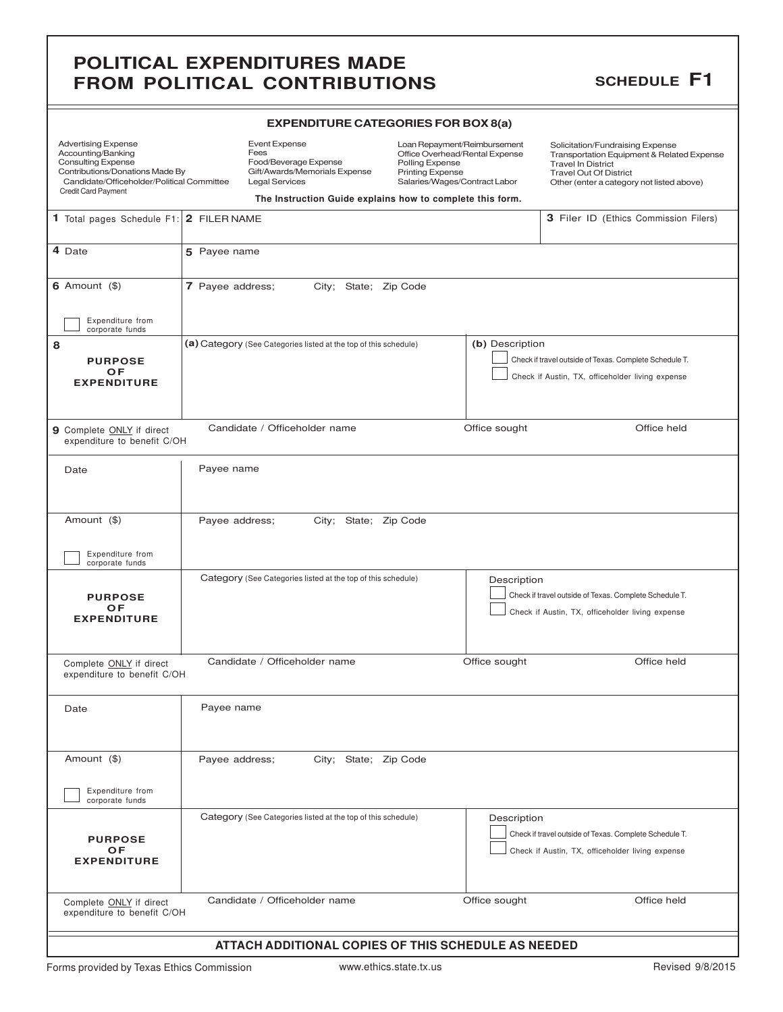## **POLITICAL EXPENDITURES MADE FROM POLITICAL CONTRIBUTIONS**

### **SCHEDULE F1**

| <b>Advertising Expense</b><br>Accounting/Banking<br><b>Consulting Expense</b><br>Contributions/Donations Made By<br>Candidate/Officeholder/Political Committee<br><b>Credit Card Payment</b> | <b>Event Expense</b><br>Fees<br>Food/Beverage Expense<br>Polling Expense<br>Gift/Awards/Memorials Expense<br><b>Printing Expense</b><br>Salaries/Wages/Contract Labor<br><b>Legal Services</b><br>The Instruction Guide explains how to complete this form. |                                       | Loan Repayment/Reimbursement<br>Office Overhead/Rental Expense                                             | Solicitation/Fundraising Expense<br>Transportation Equipment & Related Expense<br><b>Travel In District</b><br><b>Travel Out Of District</b><br>Other (enter a category not listed above) |  |
|----------------------------------------------------------------------------------------------------------------------------------------------------------------------------------------------|-------------------------------------------------------------------------------------------------------------------------------------------------------------------------------------------------------------------------------------------------------------|---------------------------------------|------------------------------------------------------------------------------------------------------------|-------------------------------------------------------------------------------------------------------------------------------------------------------------------------------------------|--|
| 1 Total pages Schedule F1: 2 FILER NAME                                                                                                                                                      |                                                                                                                                                                                                                                                             | 3 Filer ID (Ethics Commission Filers) |                                                                                                            |                                                                                                                                                                                           |  |
| 4 Date                                                                                                                                                                                       | 5 Payee name                                                                                                                                                                                                                                                |                                       |                                                                                                            |                                                                                                                                                                                           |  |
| 6 Amount $(\$)$<br>Expenditure from<br>corporate funds                                                                                                                                       | 7 Payee address;<br>City; State; Zip Code                                                                                                                                                                                                                   |                                       |                                                                                                            |                                                                                                                                                                                           |  |
| 8<br><b>PURPOSE</b><br><b>OF</b><br><b>EXPENDITURE</b>                                                                                                                                       | (b) Description<br>(a) Category (See Categories listed at the top of this schedule)                                                                                                                                                                         |                                       | Check if travel outside of Texas. Complete Schedule T.<br>Check if Austin, TX, officeholder living expense |                                                                                                                                                                                           |  |
| Candidate / Officeholder name<br>Office sought<br>Office held<br><b>9</b> Complete ONLY if direct<br>expenditure to benefit C/OH                                                             |                                                                                                                                                                                                                                                             |                                       |                                                                                                            |                                                                                                                                                                                           |  |
| Date                                                                                                                                                                                         | Payee name                                                                                                                                                                                                                                                  |                                       |                                                                                                            |                                                                                                                                                                                           |  |
| Amount (\$)<br>Expenditure from<br>corporate funds                                                                                                                                           | Payee address;                                                                                                                                                                                                                                              | City; State; Zip Code                 |                                                                                                            |                                                                                                                                                                                           |  |
| <b>PURPOSE</b><br>OF<br><b>EXPENDITURE</b>                                                                                                                                                   | Category (See Categories listed at the top of this schedule)                                                                                                                                                                                                |                                       | Description                                                                                                | Check if travel outside of Texas. Complete Schedule T.<br>Check if Austin, TX, officeholder living expense                                                                                |  |
| Complete ONLY if direct<br>expenditure to benefit C/OH                                                                                                                                       | Candidate / Officeholder name                                                                                                                                                                                                                               |                                       | Office sought                                                                                              | Office held                                                                                                                                                                               |  |
| Date                                                                                                                                                                                         | Payee name                                                                                                                                                                                                                                                  |                                       |                                                                                                            |                                                                                                                                                                                           |  |
| Amount (\$)<br>Expenditure from<br>corporate funds                                                                                                                                           | Payee address;                                                                                                                                                                                                                                              | City; State; Zip Code                 |                                                                                                            |                                                                                                                                                                                           |  |
| <b>PURPOSE</b><br>OF<br><b>EXPENDITURE</b>                                                                                                                                                   | Category (See Categories listed at the top of this schedule)                                                                                                                                                                                                |                                       | Description                                                                                                | Check if travel outside of Texas. Complete Schedule T.<br>Check if Austin, TX, officeholder living expense                                                                                |  |
| Complete ONLY if direct<br>expenditure to benefit C/OH                                                                                                                                       | Candidate / Officeholder name                                                                                                                                                                                                                               |                                       | Office sought                                                                                              | Office held                                                                                                                                                                               |  |
|                                                                                                                                                                                              |                                                                                                                                                                                                                                                             |                                       | ATTACH ADDITIONAL COPIES OF THIS SCHEDULE AS NEEDED                                                        |                                                                                                                                                                                           |  |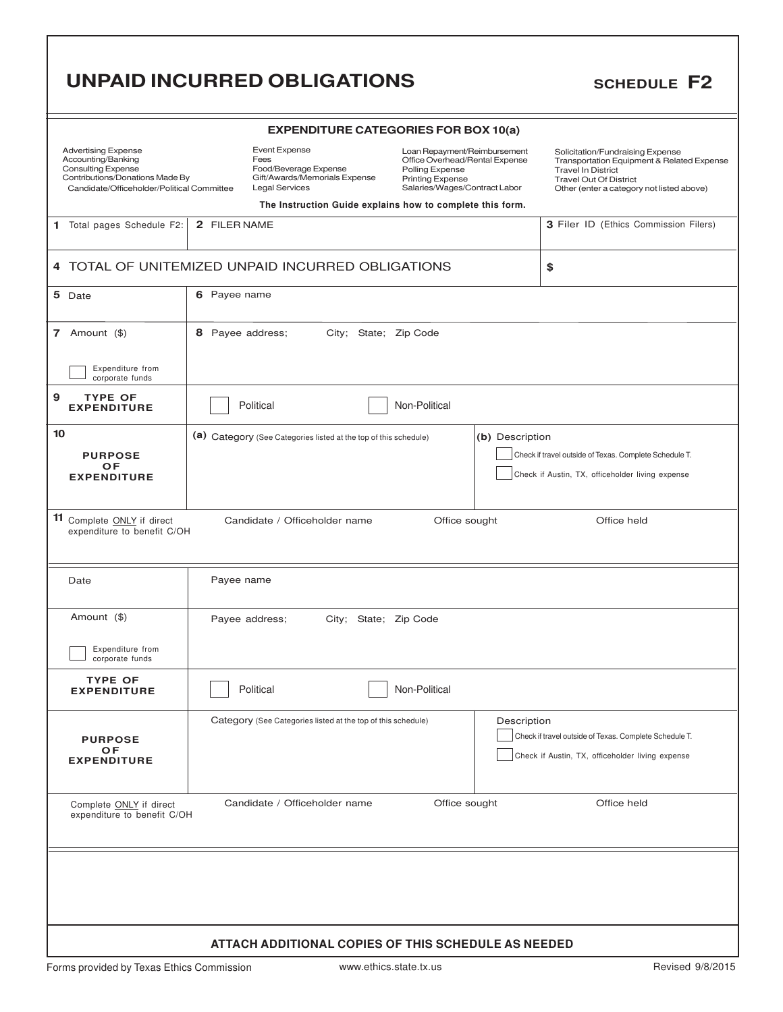# **UNPAID INCURRED OBLIGATIONS** SCHEDULE F2

| <b>EXPENDITURE CATEGORIES FOR BOX 10(a)</b>                                                                                                                    |                                           |                                                                                                                 |                                                                                                                                               |                 |                                                                                                                                                                                           |  |
|----------------------------------------------------------------------------------------------------------------------------------------------------------------|-------------------------------------------|-----------------------------------------------------------------------------------------------------------------|-----------------------------------------------------------------------------------------------------------------------------------------------|-----------------|-------------------------------------------------------------------------------------------------------------------------------------------------------------------------------------------|--|
| <b>Advertising Expense</b><br>Accounting/Banking<br><b>Consulting Expense</b><br>Contributions/Donations Made By<br>Candidate/Officeholder/Political Committee |                                           | <b>Event Expense</b><br>Fees<br>Food/Beverage Expense<br>Gift/Awards/Memorials Expense<br><b>Legal Services</b> | Loan Repayment/Reimbursement<br>Office Overhead/Rental Expense<br>Polling Expense<br><b>Printing Expense</b><br>Salaries/Wages/Contract Labor |                 | Solicitation/Fundraising Expense<br>Transportation Equipment & Related Expense<br><b>Travel In District</b><br><b>Travel Out Of District</b><br>Other (enter a category not listed above) |  |
|                                                                                                                                                                |                                           | The Instruction Guide explains how to complete this form.                                                       |                                                                                                                                               |                 |                                                                                                                                                                                           |  |
| 1 Total pages Schedule F2:                                                                                                                                     | 2 FILER NAME                              |                                                                                                                 |                                                                                                                                               |                 | 3 Filer ID (Ethics Commission Filers)                                                                                                                                                     |  |
|                                                                                                                                                                |                                           | 4 TOTAL OF UNITEMIZED UNPAID INCURRED OBLIGATIONS                                                               |                                                                                                                                               |                 | \$                                                                                                                                                                                        |  |
| 5 Date                                                                                                                                                         | 6 Payee name                              |                                                                                                                 |                                                                                                                                               |                 |                                                                                                                                                                                           |  |
| 7 Amount $(\$)$                                                                                                                                                | 8 Payee address;<br>City; State; Zip Code |                                                                                                                 |                                                                                                                                               |                 |                                                                                                                                                                                           |  |
| Expenditure from<br>corporate funds                                                                                                                            |                                           |                                                                                                                 |                                                                                                                                               |                 |                                                                                                                                                                                           |  |
| 9<br><b>TYPE OF</b><br><b>EXPENDITURE</b>                                                                                                                      |                                           | Political                                                                                                       | Non-Political                                                                                                                                 |                 |                                                                                                                                                                                           |  |
| 10                                                                                                                                                             |                                           | (a) Category (See Categories listed at the top of this schedule)                                                |                                                                                                                                               | (b) Description |                                                                                                                                                                                           |  |
| <b>PURPOSE</b>                                                                                                                                                 |                                           |                                                                                                                 |                                                                                                                                               |                 | Check if travel outside of Texas. Complete Schedule T.                                                                                                                                    |  |
| OF<br><b>EXPENDITURE</b>                                                                                                                                       |                                           |                                                                                                                 |                                                                                                                                               |                 | Check if Austin, TX, officeholder living expense                                                                                                                                          |  |
|                                                                                                                                                                |                                           |                                                                                                                 |                                                                                                                                               |                 |                                                                                                                                                                                           |  |
| 11 Complete ONLY if direct<br>Candidate / Officeholder name<br>Office sought<br>Office held<br>expenditure to benefit C/OH                                     |                                           |                                                                                                                 |                                                                                                                                               |                 |                                                                                                                                                                                           |  |
| Date                                                                                                                                                           | Payee name                                |                                                                                                                 |                                                                                                                                               |                 |                                                                                                                                                                                           |  |
| Amount (\$)                                                                                                                                                    |                                           | Payee address;<br>City; State; Zip Code                                                                         |                                                                                                                                               |                 |                                                                                                                                                                                           |  |
| Expenditure from<br>corporate funds                                                                                                                            |                                           |                                                                                                                 |                                                                                                                                               |                 |                                                                                                                                                                                           |  |
| <b>TYPE OF</b><br><b>EXPENDITURE</b>                                                                                                                           | Political<br>Non-Political                |                                                                                                                 |                                                                                                                                               |                 |                                                                                                                                                                                           |  |
|                                                                                                                                                                |                                           | Category (See Categories listed at the top of this schedule)                                                    |                                                                                                                                               | Description     |                                                                                                                                                                                           |  |
| <b>PURPOSE</b>                                                                                                                                                 |                                           |                                                                                                                 |                                                                                                                                               |                 | Check if travel outside of Texas. Complete Schedule T.                                                                                                                                    |  |
| <b>OF</b><br><b>EXPENDITURE</b>                                                                                                                                |                                           |                                                                                                                 |                                                                                                                                               |                 | Check if Austin, TX, officeholder living expense                                                                                                                                          |  |
|                                                                                                                                                                |                                           |                                                                                                                 |                                                                                                                                               |                 |                                                                                                                                                                                           |  |
| Office held<br>Candidate / Officeholder name<br>Office sought<br>Complete ONLY if direct<br>expenditure to benefit C/OH                                        |                                           |                                                                                                                 |                                                                                                                                               |                 |                                                                                                                                                                                           |  |
|                                                                                                                                                                |                                           |                                                                                                                 |                                                                                                                                               |                 |                                                                                                                                                                                           |  |
|                                                                                                                                                                |                                           |                                                                                                                 |                                                                                                                                               |                 |                                                                                                                                                                                           |  |
|                                                                                                                                                                |                                           |                                                                                                                 |                                                                                                                                               |                 |                                                                                                                                                                                           |  |
|                                                                                                                                                                |                                           |                                                                                                                 |                                                                                                                                               |                 |                                                                                                                                                                                           |  |
|                                                                                                                                                                |                                           |                                                                                                                 |                                                                                                                                               |                 |                                                                                                                                                                                           |  |
|                                                                                                                                                                |                                           |                                                                                                                 |                                                                                                                                               |                 |                                                                                                                                                                                           |  |
| ATTACH ADDITIONAL COPIES OF THIS SCHEDULE AS NEEDED                                                                                                            |                                           |                                                                                                                 |                                                                                                                                               |                 |                                                                                                                                                                                           |  |
| www.ethics.state.tx.us<br>Revised 9/8/2015<br>Forms provided by Texas Ethics Commission                                                                        |                                           |                                                                                                                 |                                                                                                                                               |                 |                                                                                                                                                                                           |  |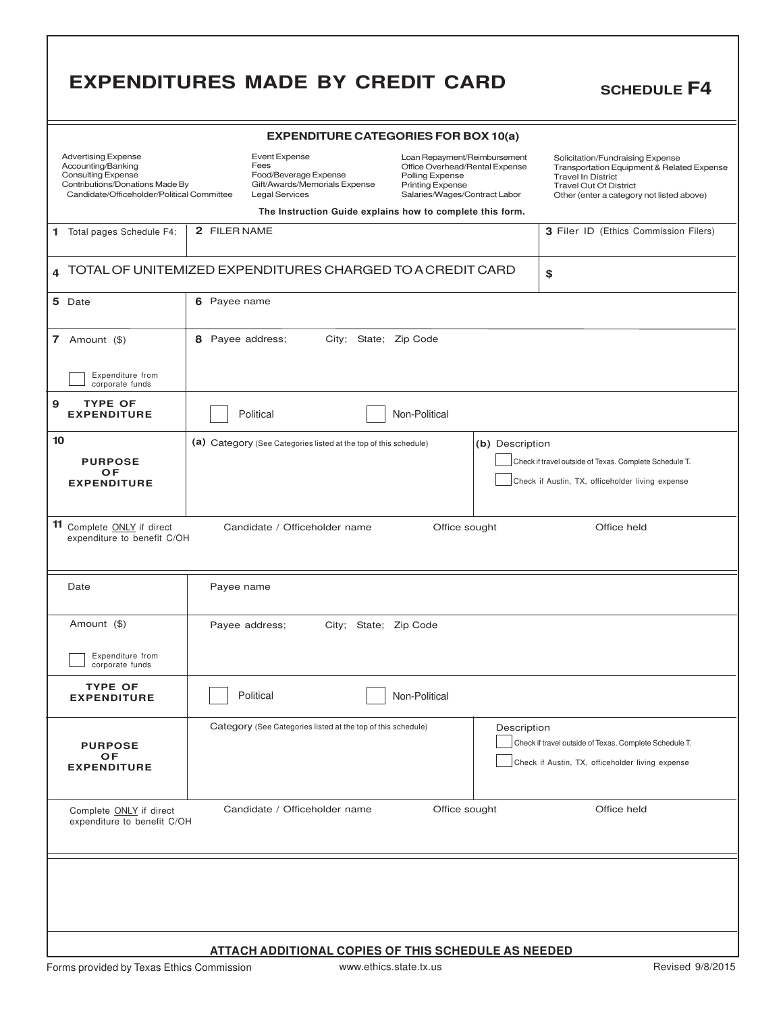|                                                                                                                                                                | <b>EXPENDITURES MADE BY CREDIT CARD</b>                                                                                                                                                                                                                                                                                       | <b>SCHEDULE F4</b>                                                                                                                                                                        |  |  |  |  |
|----------------------------------------------------------------------------------------------------------------------------------------------------------------|-------------------------------------------------------------------------------------------------------------------------------------------------------------------------------------------------------------------------------------------------------------------------------------------------------------------------------|-------------------------------------------------------------------------------------------------------------------------------------------------------------------------------------------|--|--|--|--|
| <b>EXPENDITURE CATEGORIES FOR BOX 10(a)</b>                                                                                                                    |                                                                                                                                                                                                                                                                                                                               |                                                                                                                                                                                           |  |  |  |  |
| <b>Advertising Expense</b><br>Accounting/Banking<br><b>Consulting Expense</b><br>Contributions/Donations Made By<br>Candidate/Officeholder/Political Committee | <b>Event Expense</b><br>Loan Repayment/Reimbursement<br>Fees<br>Office Overhead/Rental Expense<br>Food/Beverage Expense<br>Polling Expense<br>Gift/Awards/Memorials Expense<br><b>Printing Expense</b><br><b>Legal Services</b><br>Salaries/Wages/Contract Labor<br>The Instruction Guide explains how to complete this form. | Solicitation/Fundraising Expense<br>Transportation Equipment & Related Expense<br><b>Travel In District</b><br><b>Travel Out Of District</b><br>Other (enter a category not listed above) |  |  |  |  |
| 1 Total pages Schedule F4:                                                                                                                                     | 2 FILER NAME                                                                                                                                                                                                                                                                                                                  | 3 Filer ID (Ethics Commission Filers)                                                                                                                                                     |  |  |  |  |
|                                                                                                                                                                |                                                                                                                                                                                                                                                                                                                               |                                                                                                                                                                                           |  |  |  |  |
|                                                                                                                                                                | TOTAL OF UNITEMIZED EXPENDITURES CHARGED TO A CREDIT CARD                                                                                                                                                                                                                                                                     | \$                                                                                                                                                                                        |  |  |  |  |
| 5 Date                                                                                                                                                         | 6 Payee name                                                                                                                                                                                                                                                                                                                  |                                                                                                                                                                                           |  |  |  |  |
| 7 Amount $(\$)$<br>8 Payee address;<br>City; State; Zip Code                                                                                                   |                                                                                                                                                                                                                                                                                                                               |                                                                                                                                                                                           |  |  |  |  |
| Expenditure from<br>corporate funds                                                                                                                            |                                                                                                                                                                                                                                                                                                                               |                                                                                                                                                                                           |  |  |  |  |
| <b>TYPE OF</b><br>9<br><b>EXPENDITURE</b>                                                                                                                      | Political<br>Non-Political                                                                                                                                                                                                                                                                                                    |                                                                                                                                                                                           |  |  |  |  |
| 10                                                                                                                                                             | (a) Category (See Categories listed at the top of this schedule)<br>(b) Description                                                                                                                                                                                                                                           |                                                                                                                                                                                           |  |  |  |  |
| <b>PURPOSE</b><br>OF                                                                                                                                           |                                                                                                                                                                                                                                                                                                                               | Check if travel outside of Texas. Complete Schedule T.                                                                                                                                    |  |  |  |  |
| Check if Austin, TX, officeholder living expense<br><b>EXPENDITURE</b>                                                                                         |                                                                                                                                                                                                                                                                                                                               |                                                                                                                                                                                           |  |  |  |  |
| 11 Complete ONLY if direct<br>expenditure to benefit C/OH                                                                                                      | Candidate / Officeholder name<br>Office sought                                                                                                                                                                                                                                                                                | Office held                                                                                                                                                                               |  |  |  |  |
| Date                                                                                                                                                           | Payee name                                                                                                                                                                                                                                                                                                                    |                                                                                                                                                                                           |  |  |  |  |
| Amount (\$)<br>City; State; Zip Code<br>Payee address;                                                                                                         |                                                                                                                                                                                                                                                                                                                               |                                                                                                                                                                                           |  |  |  |  |
| Expenditure from<br>corporate funds                                                                                                                            |                                                                                                                                                                                                                                                                                                                               |                                                                                                                                                                                           |  |  |  |  |
| <b>TYPE OF</b><br><b>EXPENDITURE</b>                                                                                                                           | Political<br>Non-Political                                                                                                                                                                                                                                                                                                    |                                                                                                                                                                                           |  |  |  |  |
|                                                                                                                                                                | Category (See Categories listed at the top of this schedule)<br>Description                                                                                                                                                                                                                                                   |                                                                                                                                                                                           |  |  |  |  |
| <b>PURPOSE</b><br>OF                                                                                                                                           |                                                                                                                                                                                                                                                                                                                               | Check if travel outside of Texas. Complete Schedule T.                                                                                                                                    |  |  |  |  |
| <b>EXPENDITURE</b>                                                                                                                                             |                                                                                                                                                                                                                                                                                                                               | Check if Austin, TX, officeholder living expense                                                                                                                                          |  |  |  |  |
| Complete ONLY if direct<br>expenditure to benefit C/OH                                                                                                         | Candidate / Officeholder name<br>Office sought                                                                                                                                                                                                                                                                                | Office held                                                                                                                                                                               |  |  |  |  |
|                                                                                                                                                                |                                                                                                                                                                                                                                                                                                                               |                                                                                                                                                                                           |  |  |  |  |
|                                                                                                                                                                |                                                                                                                                                                                                                                                                                                                               |                                                                                                                                                                                           |  |  |  |  |
|                                                                                                                                                                |                                                                                                                                                                                                                                                                                                                               |                                                                                                                                                                                           |  |  |  |  |
|                                                                                                                                                                | <b>ATTACH ADDITIONAL COPIES OF THIS SCHEDULE AS NEEDED</b>                                                                                                                                                                                                                                                                    |                                                                                                                                                                                           |  |  |  |  |
| Forms provided by Texas Ethics Commission                                                                                                                      | www.ethics.state.tx.us                                                                                                                                                                                                                                                                                                        | Revised 9/8/2015                                                                                                                                                                          |  |  |  |  |

L

٦